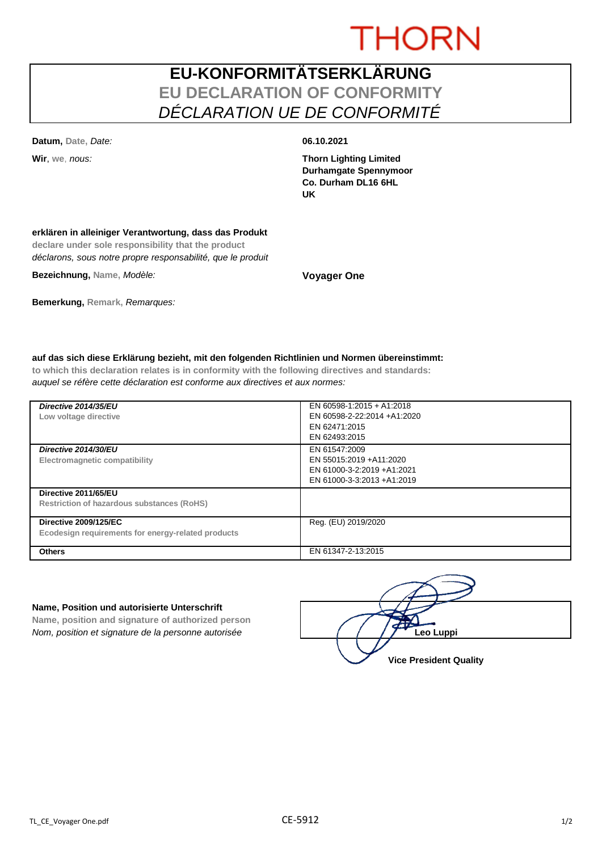# **THORN**

## **EU-KONFORMITÄTSERKLÄRUNG EU DECLARATION OF CONFORMITY** *DÉCLARATION UE DE CONFORMITÉ*

**Datum, Date,** *Date:* **06.10.2021**

**Wir**, **we**, *nous:* **Thorn Lighting Limited Durhamgate Spennymoor Co. Durham DL16 6HL UK**

#### **erklären in alleiniger Verantwortung, dass das Produkt**

**declare under sole responsibility that the product** *déclarons, sous notre propre responsabilité, que le produit*

**Bezeichnung, Name,** *Modèle:* **Voyager One**

### **Bemerkung, Remark,** *Remarques:*

#### **auf das sich diese Erklärung bezieht, mit den folgenden Richtlinien und Normen übereinstimmt:**

**to which this declaration relates is in conformity with the following directives and standards:** *auquel se réfère cette déclaration est conforme aux directives et aux normes:*

| Directive 2014/35/EU<br>Low voltage directive                                      | EN 60598-1:2015 + A1:2018<br>EN 60598-2-22:2014 +A1:2020<br>EN 62471:2015<br>EN 62493:2015           |
|------------------------------------------------------------------------------------|------------------------------------------------------------------------------------------------------|
| Directive 2014/30/EU<br>Electromagnetic compatibility                              | EN 61547:2009<br>EN 55015:2019 +A11:2020<br>EN 61000-3-2:2019 +A1:2021<br>EN 61000-3-3:2013 +A1:2019 |
| Directive 2011/65/EU<br><b>Restriction of hazardous substances (RoHS)</b>          |                                                                                                      |
| <b>Directive 2009/125/EC</b><br>Ecodesign requirements for energy-related products | Reg. (EU) 2019/2020                                                                                  |
| <b>Others</b>                                                                      | EN 61347-2-13:2015                                                                                   |

#### **Name, Position und autorisierte Unterschrift**

**Name, position and signature of authorized person** *Nom, position et signature de la personne autorisée* 

| Leo Luppi                     |  |
|-------------------------------|--|
| <b>Vice President Quality</b> |  |